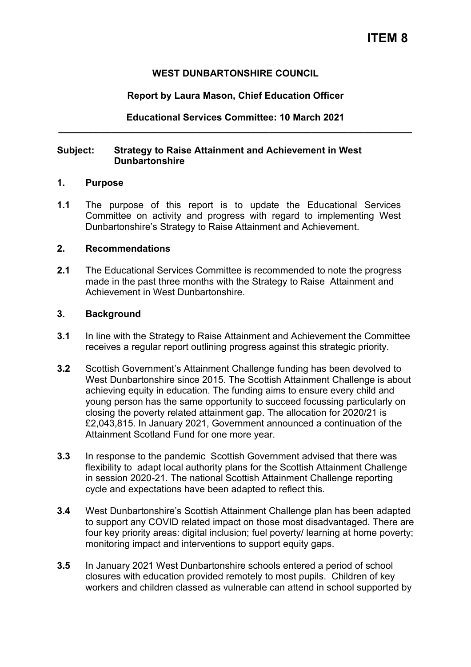# **ITEM 8**

#### **WEST DUNBARTONSHIRE COUNCIL**

#### **Report by Laura Mason, Chief Education Officer**

### **Educational Services Committee: 10 March 2021 \_\_\_\_\_\_\_\_\_\_\_\_\_\_\_\_\_\_\_\_\_\_\_\_\_\_\_\_\_\_\_\_\_\_\_\_\_\_\_\_\_\_\_\_\_\_\_\_\_\_\_\_\_\_\_\_\_\_\_\_\_\_\_\_\_\_\_**

#### **Subject: Strategy to Raise Attainment and Achievement in West Dunbartonshire**

#### **1. Purpose**

**1.1** The purpose of this report is to update the Educational Services Committee on activity and progress with regard to implementing West Dunbartonshire's Strategy to Raise Attainment and Achievement.

#### **2. Recommendations**

**2.1** The Educational Services Committee is recommended to note the progress made in the past three months with the Strategy to Raise Attainment and Achievement in West Dunbartonshire.

#### **3. Background**

- **3.1** In line with the Strategy to Raise Attainment and Achievement the Committee receives a regular report outlining progress against this strategic priority.
- **3.2** Scottish Government's Attainment Challenge funding has been devolved to West Dunbartonshire since 2015. The Scottish Attainment Challenge is about achieving equity in education. The funding aims to ensure every child and young person has the same opportunity to succeed focussing particularly on closing the poverty related attainment gap. The allocation for 2020/21 is £2,043,815. In January 2021, Government announced a continuation of the Attainment Scotland Fund for one more year.
- **3.3** In response to the pandemic Scottish Government advised that there was flexibility to adapt local authority plans for the Scottish Attainment Challenge in session 2020-21. The national Scottish Attainment Challenge reporting cycle and expectations have been adapted to reflect this.
- **3.4** West Dunbartonshire's Scottish Attainment Challenge plan has been adapted to support any COVID related impact on those most disadvantaged. There are four key priority areas: digital inclusion; fuel poverty/ learning at home poverty; monitoring impact and interventions to support equity gaps.
- **3.5** In January 2021 West Dunbartonshire schools entered a period of school closures with education provided remotely to most pupils. Children of key workers and children classed as vulnerable can attend in school supported by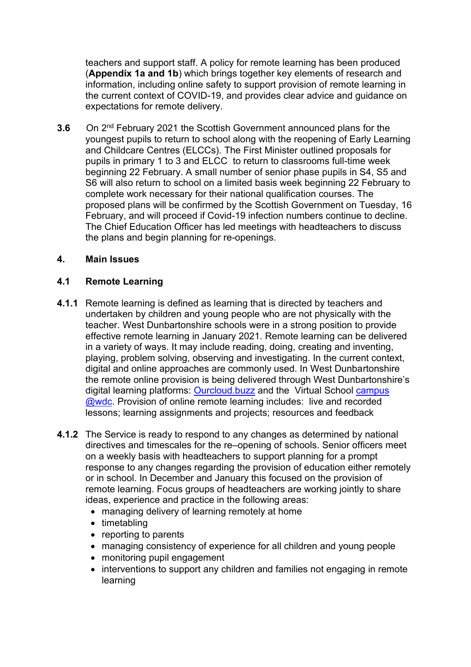teachers and support staff. A policy for remote learning has been produced (**Appendix 1a and 1b**) which brings together key elements of research and information, including online safety to support provision of remote learning in the current context of COVID-19, and provides clear advice and guidance on expectations for remote delivery.

**3.6** On 2nd February 2021 the Scottish Government announced plans for the youngest pupils to return to school along with the reopening of Early Learning and Childcare Centres (ELCCs). The First Minister outlined proposals for pupils in primary 1 to 3 and ELCC to return to classrooms full-time week beginning 22 February. A small number of senior phase pupils in S4, S5 and S6 will also return to school on a limited basis week beginning 22 February to complete work necessary for their national qualification courses. The proposed plans will be confirmed by the Scottish Government on Tuesday, 16 February, and will proceed if Covid-19 infection numbers continue to decline. The Chief Education Officer has led meetings with headteachers to discuss the plans and begin planning for re-openings.

### **4. Main Issues**

### **4.1 Remote Learning**

- **4.1.1** Remote learning is defined as learning that is directed by teachers and undertaken by children and young people who are not physically with the teacher. West Dunbartonshire schools were in a strong position to provide effective remote learning in January 2021. Remote learning can be delivered in a variety of ways. It may include reading, doing, creating and inventing, playing, problem solving, observing and investigating. In the current context, digital and online approaches are commonly used. In West Dunbartonshire the remote online provision is being delivered through West Dunbartonshire's digital learning platforms: [Ourcloud.buzz](https://sites.google.com/ourcloud.buzz/public) and the Virtual School [campus](https://sites.google.com/ourcloud.buzz/wdcvirtualschool/home)  [@wdc.](https://sites.google.com/ourcloud.buzz/wdcvirtualschool/home) Provision of online remote learning includes: live and recorded lessons; learning assignments and projects; resources and feedback
- **4.1.2** The Service is ready to respond to any changes as determined by national directives and timescales for the re–opening of schools. Senior officers meet on a weekly basis with headteachers to support planning for a prompt response to any changes regarding the provision of education either remotely or in school. In December and January this focused on the provision of remote learning. Focus groups of headteachers are working jointly to share ideas, experience and practice in the following areas:
	- managing delivery of learning remotely at home
	- timetabling
	- reporting to parents
	- managing consistency of experience for all children and young people
	- monitoring pupil engagement
	- interventions to support any children and families not engaging in remote learning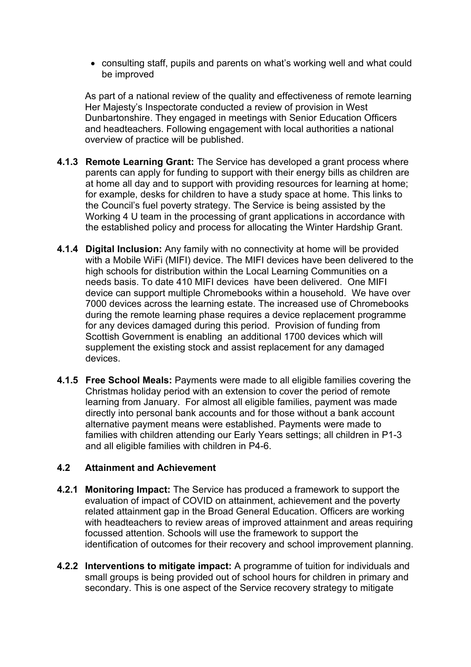• consulting staff, pupils and parents on what's working well and what could be improved

As part of a national review of the quality and effectiveness of remote learning Her Majesty's Inspectorate conducted a review of provision in West Dunbartonshire. They engaged in meetings with Senior Education Officers and headteachers. Following engagement with local authorities a national overview of practice will be published.

- **4.1.3 Remote Learning Grant:** The Service has developed a grant process where parents can apply for funding to support with their energy bills as children are at home all day and to support with providing resources for learning at home; for example, desks for children to have a study space at home. This links to the Council's fuel poverty strategy. The Service is being assisted by the Working 4 U team in the processing of grant applications in accordance with the established policy and process for allocating the Winter Hardship Grant.
- **4.1.4 Digital Inclusion:** Any family with no connectivity at home will be provided with a Mobile WiFi (MIFI) device. The MIFI devices have been delivered to the high schools for distribution within the Local Learning Communities on a needs basis. To date 410 MIFI devices have been delivered. One MIFI device can support multiple Chromebooks within a household. We have over 7000 devices across the learning estate. The increased use of Chromebooks during the remote learning phase requires a device replacement programme for any devices damaged during this period. Provision of funding from Scottish Government is enabling an additional 1700 devices which will supplement the existing stock and assist replacement for any damaged devices.
- **4.1.5 Free School Meals:** Payments were made to all eligible families covering the Christmas holiday period with an extension to cover the period of remote learning from January. For almost all eligible families, payment was made directly into personal bank accounts and for those without a bank account alternative payment means were established. Payments were made to families with children attending our Early Years settings; all children in P1-3 and all eligible families with children in P4-6.

### **4.2 Attainment and Achievement**

- **4.2.1 Monitoring Impact:** The Service has produced a framework to support the evaluation of impact of COVID on attainment, achievement and the poverty related attainment gap in the Broad General Education. Officers are working with headteachers to review areas of improved attainment and areas requiring focussed attention. Schools will use the framework to support the identification of outcomes for their recovery and school improvement planning.
- **4.2.2 Interventions to mitigate impact:** A programme of tuition for individuals and small groups is being provided out of school hours for children in primary and secondary. This is one aspect of the Service recovery strategy to mitigate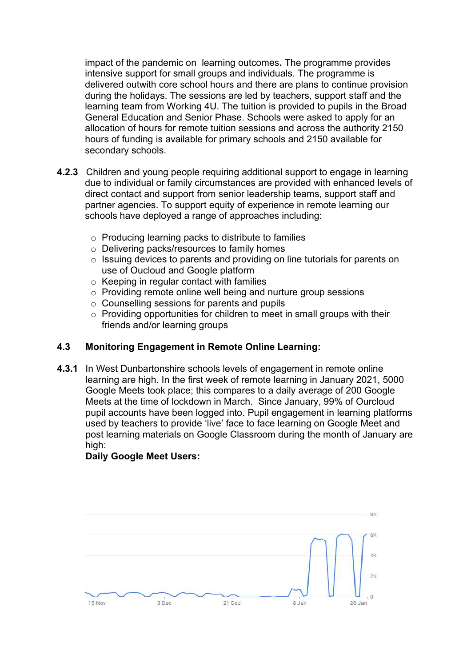impact of the pandemic on learning outcomes**.** The programme provides intensive support for small groups and individuals. The programme is delivered outwith core school hours and there are plans to continue provision during the holidays. The sessions are led by teachers, support staff and the learning team from Working 4U. The tuition is provided to pupils in the Broad General Education and Senior Phase. Schools were asked to apply for an allocation of hours for remote tuition sessions and across the authority 2150 hours of funding is available for primary schools and 2150 available for secondary schools.

- **4.2.3** Children and young people requiring additional support to engage in learning due to individual or family circumstances are provided with enhanced levels of direct contact and support from senior leadership teams, support staff and partner agencies. To support equity of experience in remote learning our schools have deployed a range of approaches including:
	- o Producing learning packs to distribute to families
	- o Delivering packs/resources to family homes
	- o Issuing devices to parents and providing on line tutorials for parents on use of Oucloud and Google platform
	- o Keeping in regular contact with families
	- o Providing remote online well being and nurture group sessions
	- o Counselling sessions for parents and pupils
	- $\circ$  Providing opportunities for children to meet in small groups with their friends and/or learning groups

# **4.3 Monitoring Engagement in Remote Online Learning:**

**4.3.1** In West Dunbartonshire schools levels of engagement in remote online learning are high. In the first week of remote learning in January 2021, 5000 Google Meets took place; this compares to a daily average of 200 Google Meets at the time of lockdown in March. Since January, 99% of Ourcloud pupil accounts have been logged into. Pupil engagement in learning platforms used by teachers to provide 'live' face to face learning on Google Meet and post learning materials on Google Classroom during the month of January are high:

# **Daily Google Meet Users:**

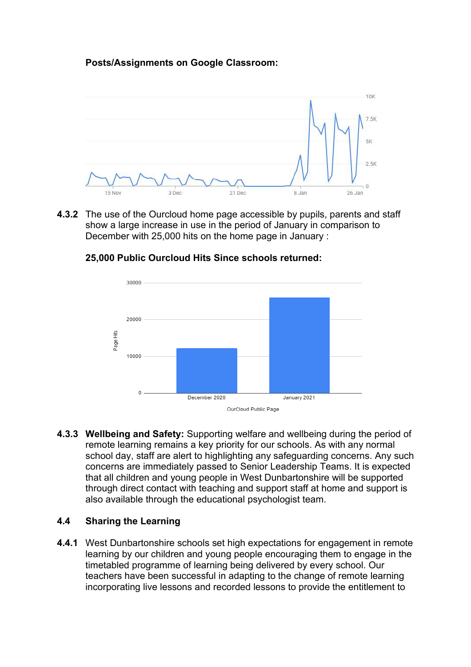# **Posts/Assignments on Google Classroom:**



**4.3.2** The use of the Ourcloud home page accessible by pupils, parents and staff show a large increase in use in the period of January in comparison to December with 25,000 hits on the home page in January :



#### **25,000 Public Ourcloud Hits Since schools returned:**

**4.3.3 Wellbeing and Safety:** Supporting welfare and wellbeing during the period of remote learning remains a key priority for our schools. As with any normal school day, staff are alert to highlighting any safeguarding concerns. Any such concerns are immediately passed to Senior Leadership Teams. It is expected that all children and young people in West Dunbartonshire will be supported through direct contact with teaching and support staff at home and support is also available through the educational psychologist team.

# **4.4 Sharing the Learning**

**4.4.1** West Dunbartonshire schools set high expectations for engagement in remote learning by our children and young people encouraging them to engage in the timetabled programme of learning being delivered by every school. Our teachers have been successful in adapting to the change of remote learning incorporating live lessons and recorded lessons to provide the entitlement to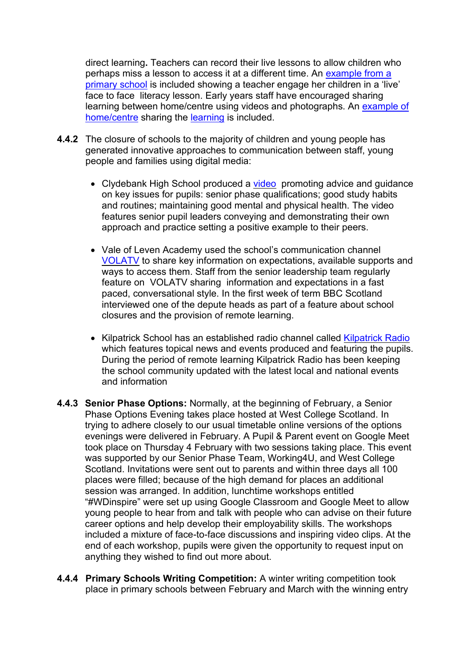direct learning**.** Teachers can record their live lessons to allow children who perhaps miss a lesson to access it at a different time. An [example from a](https://drive.google.com/file/d/1uHGE7HzrxFgvfFsukB7BlfecjfYzOQnn/view?usp=drive_web)  [primary school](https://drive.google.com/file/d/1uHGE7HzrxFgvfFsukB7BlfecjfYzOQnn/view?usp=drive_web) is included showing a teacher engage her children in a 'live' face to face literacy lesson. Early years staff have encouraged sharing learning between home/centre using videos and photographs. An [example of](https://drive.google.com/file/d/1VqT93lxe0Y9Y32AI1CDH38CL6IbxI3h0/view?usp=sharing)  [home/centre](https://drive.google.com/file/d/1VqT93lxe0Y9Y32AI1CDH38CL6IbxI3h0/view?usp=sharing) sharing the [learning](https://docs.google.com/document/d/1790Anr8UAQByrPsqbyV801v74P65Qz-O/edit) is included.

- **4.4.2** The closure of schools to the majority of children and young people has generated innovative approaches to communication between staff, young people and families using digital media:
	- Clydebank High School produced a [video](https://youtu.be/zcFFPp4fUYg) promoting advice and guidance on key issues for pupils: senior phase qualifications; good study habits and routines; maintaining good mental and physical health. The video features senior pupil leaders conveying and demonstrating their own approach and practice setting a positive example to their peers.
	- Vale of Leven Academy used the school's communication channel [VOLATV](https://www.youtube.com/channel/UCiLakLogTrgqH-9I1fBG-Bg) to share key information on expectations, available supports and ways to access them. Staff from the senior leadership team regularly feature on VOLATV sharing information and expectations in a fast paced, conversational style. In the first week of term BBC Scotland interviewed one of the depute heads as part of a feature about school closures and the provision of remote learning.
	- Kilpatrick School has an established radio channel called [Kilpatrick Radio](https://soundcloud.com/kilpatrickradio/monday-news-18-january-2021) which features topical news and events produced and featuring the pupils. During the period of remote learning Kilpatrick Radio has been keeping the school community updated with the latest local and national events and information
- **4.4.3 Senior Phase Options:** Normally, at the beginning of February, a Senior Phase Options Evening takes place hosted at West College Scotland. In trying to adhere closely to our usual timetable online versions of the options evenings were delivered in February. A Pupil & Parent event on Google Meet took place on Thursday 4 February with two sessions taking place. This event was supported by our Senior Phase Team, Working4U, and West College Scotland. Invitations were sent out to parents and within three days all 100 places were filled; because of the high demand for places an additional session was arranged. In addition, lunchtime workshops entitled "#WDinspire" were set up using Google Classroom and Google Meet to allow young people to hear from and talk with people who can advise on their future career options and help develop their employability skills. The workshops included a mixture of face-to-face discussions and inspiring video clips. At the end of each workshop, pupils were given the opportunity to request input on anything they wished to find out more about.
- **4.4.4 Primary Schools Writing Competition:** A winter writing competition took place in primary schools between February and March with the winning entry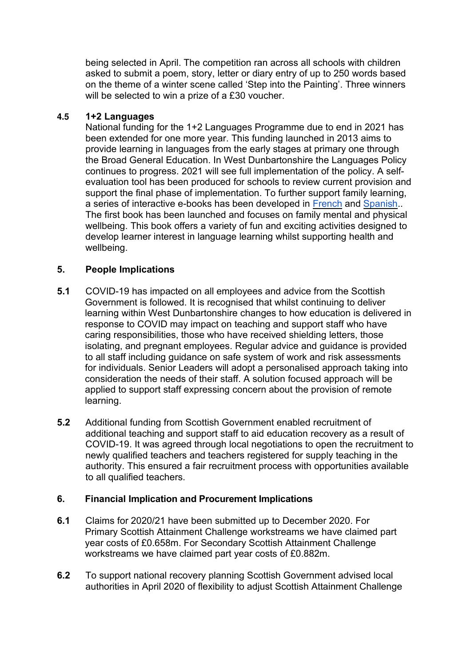being selected in April. The competition ran across all schools with children asked to submit a poem, story, letter or diary entry of up to 250 words based on the theme of a winter scene called 'Step into the Painting'. Three winners will be selected to win a prize of a £30 voucher.

### 4.5 **1+2 Languages**

National funding for the 1+2 Languages Programme due to end in 2021 has been extended for one more year. This funding launched in 2013 aims to provide learning in languages from the early stages at primary one through the Broad General Education. In West Dunbartonshire the Languages Policy continues to progress. 2021 will see full implementation of the policy. A selfevaluation tool has been produced for schools to review current provision and support the final phase of implementation. To further support family learning, a series of interactive e-books has been developed in [French](https://emea01.safelinks.protection.outlook.com/?url=https%3A%2F%2Fsites.google.com%2Fd%2F1CXhx-ys9IK-NacoNg_DTkyEMK-ZXgsas%2Fp%2F1iGVkQ1UGXCFmWCZDCftpJXqGrxuSFSBo%2Fedit&data=04%7C01%7C%7Cbee508f6a8dd40431fd008d8c7a738df%7C84df9e7fe9f640afb435aaaaaaaaaaaa%7C1%7C0%7C637478868330470147%7CUnknown%7CTWFpbGZsb3d8eyJWIjoiMC4wLjAwMDAiLCJQIjoiV2luMzIiLCJBTiI6Ik1haWwiLCJXVCI6Mn0%3D%7C1000&sdata=JHTWqLz2BH0jNfuODf3mzpH4b0HxFOVr10iyhSj4gFo%3D&reserved=0) and [Spanish.](https://emea01.safelinks.protection.outlook.com/?url=https%3A%2F%2Fsites.google.com%2Fourcloud.buzz%2Fwdcvirtualschool%2F1-2-languages%2Fspanish%3Fauthuser%3D0&data=04%7C01%7C%7Cbee508f6a8dd40431fd008d8c7a738df%7C84df9e7fe9f640afb435aaaaaaaaaaaa%7C1%7C0%7C637478868330480140%7CUnknown%7CTWFpbGZsb3d8eyJWIjoiMC4wLjAwMDAiLCJQIjoiV2luMzIiLCJBTiI6Ik1haWwiLCJXVCI6Mn0%3D%7C1000&sdata=1IaThWdUhpr8QRpLgI5QfEMGDJI1SqxUSTLBuqR9zI8%3D&reserved=0). The first book has been launched and focuses on family mental and physical wellbeing. This book offers a variety of fun and exciting activities designed to develop learner interest in language learning whilst supporting health and wellbeing.

# **5. People Implications**

- **5.1** COVID-19 has impacted on all employees and advice from the Scottish Government is followed. It is recognised that whilst continuing to deliver learning within West Dunbartonshire changes to how education is delivered in response to COVID may impact on teaching and support staff who have caring responsibilities, those who have received shielding letters, those isolating, and pregnant employees. Regular advice and guidance is provided to all staff including guidance on safe system of work and risk assessments for individuals. Senior Leaders will adopt a personalised approach taking into consideration the needs of their staff. A solution focused approach will be applied to support staff expressing concern about the provision of remote learning.
- **5.2** Additional funding from Scottish Government enabled recruitment of additional teaching and support staff to aid education recovery as a result of COVID-19. It was agreed through local negotiations to open the recruitment to newly qualified teachers and teachers registered for supply teaching in the authority. This ensured a fair recruitment process with opportunities available to all qualified teachers.

#### **6. Financial Implication and Procurement Implications**

- **6.1** Claims for 2020/21 have been submitted up to December 2020. For Primary Scottish Attainment Challenge workstreams we have claimed part year costs of £0.658m. For Secondary Scottish Attainment Challenge workstreams we have claimed part year costs of £0.882m.
- **6.2** To support national recovery planning Scottish Government advised local authorities in April 2020 of flexibility to adjust Scottish Attainment Challenge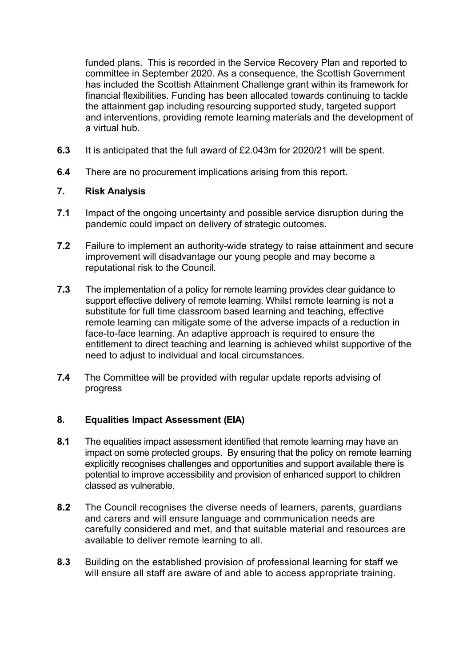funded plans. This is recorded in the Service Recovery Plan and reported to committee in September 2020. As a consequence, the Scottish Government has included the Scottish Attainment Challenge grant within its framework for financial flexibilities. Funding has been allocated towards continuing to tackle the attainment gap including resourcing supported study, targeted support and interventions, providing remote learning materials and the development of a virtual hub.

- **6.3** It is anticipated that the full award of £2.043m for 2020/21 will be spent.
- **6.4** There are no procurement implications arising from this report.

### **7. Risk Analysis**

- **7.1** Impact of the ongoing uncertainty and possible service disruption during the pandemic could impact on delivery of strategic outcomes.
- **7.2** Failure to implement an authority-wide strategy to raise attainment and secure improvement will disadvantage our young people and may become a reputational risk to the Council.
- **7.3** The implementation of a policy for remote learning provides clear guidance to support effective delivery of remote learning. Whilst remote learning is not a substitute for full time classroom based learning and teaching, effective remote learning can mitigate some of the adverse impacts of a reduction in face-to-face learning. An adaptive approach is required to ensure the entitlement to direct teaching and learning is achieved whilst supportive of the need to adjust to individual and local circumstances.
- **7.4** The Committee will be provided with regular update reports advising of progress

# **8. Equalities Impact Assessment (EIA)**

- **8.1** The equalities impact assessment identified that remote learning may have an impact on some protected groups. By ensuring that the policy on remote learning explicitly recognises challenges and opportunities and support available there is potential to improve accessibility and provision of enhanced support to children classed as vulnerable.
- **8.2** The Council recognises the diverse needs of learners, parents, guardians and carers and will ensure language and communication needs are carefully considered and met, and that suitable material and resources are available to deliver remote learning to all.
- **8.3** Building on the established provision of professional learning for staff we will ensure all staff are aware of and able to access appropriate training.